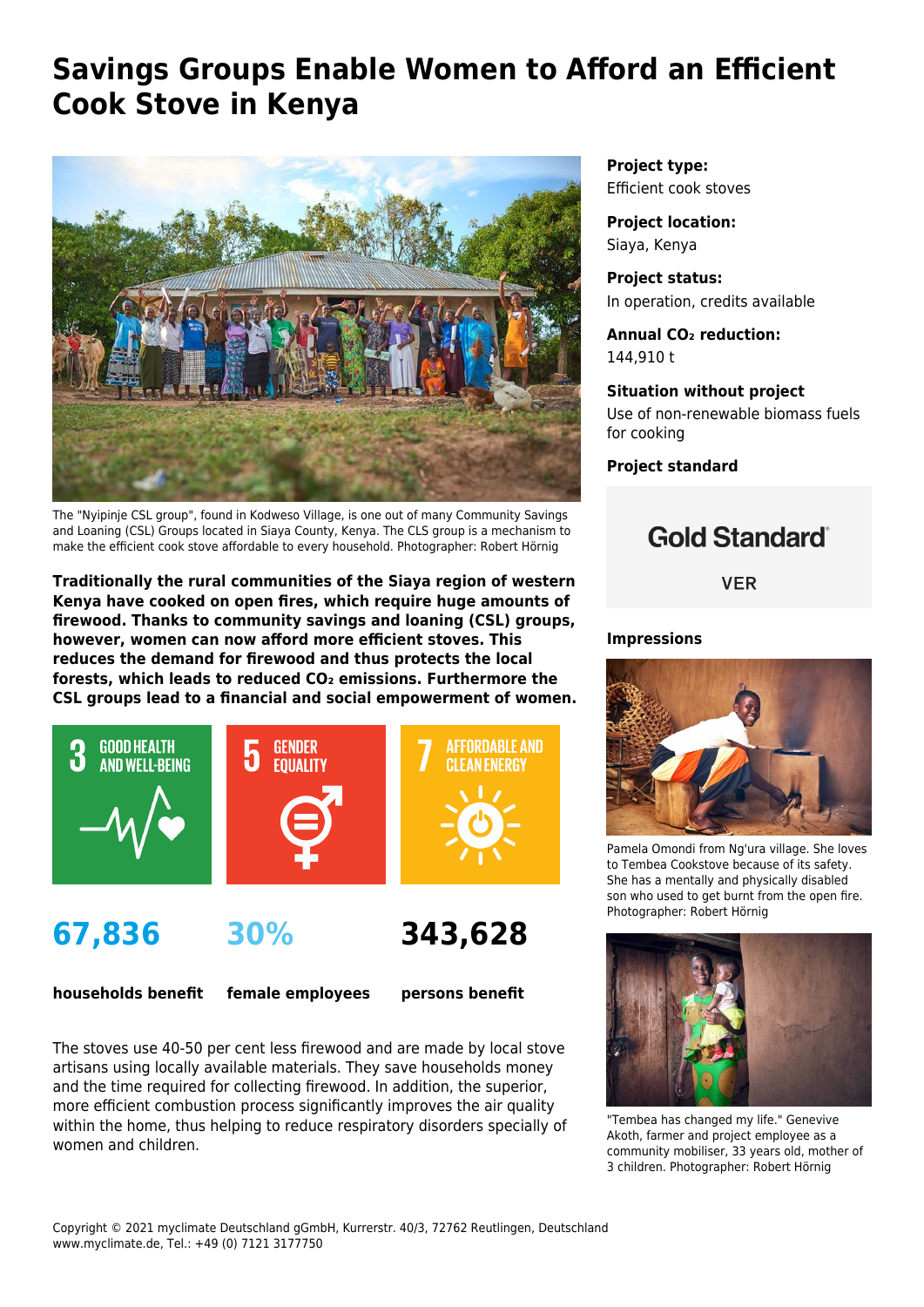# **Savings Groups Enable Women to Afford an Efficient Cook Stove in Kenya**



The "Nyipinje CSL group", found in Kodweso Village, is one out of many Community Savings and Loaning (CSL) Groups located in Siaya County, Kenya. The CLS group is a mechanism to make the efficient cook stove affordable to every household. Photographer: Robert Hörnig

**Traditionally the rural communities of the Siaya region of western Kenya have cooked on open fires, which require huge amounts of firewood. Thanks to community savings and loaning (CSL) groups, however, women can now afford more efficient stoves. This reduces the demand for firewood and thus protects the local forests, which leads to reduced CO₂ emissions. Furthermore the CSL groups lead to a financial and social empowerment of women.**



**67,836**

**30%**

**343,628**

**households benefit**

**female employees**

**persons benefit**

The stoves use 40-50 per cent less firewood and are made by local stove artisans using locally available materials. They save households money and the time required for collecting firewood. In addition, the superior, more efficient combustion process significantly improves the air quality within the home, thus helping to reduce respiratory disorders specially of women and children.

**Project type:** Efficient cook stoves

**Project location:** Siaya, Kenya

**Project status:** In operation, credits available

**Annual CO₂ reduction:** 144,910 t

**Situation without project** Use of non-renewable biomass fuels for cooking

**Project standard**

## **Gold Standard**®

**VER** 

#### **Impressions**



Pamela Omondi from Ng'ura village. She loves to Tembea Cookstove because of its safety. She has a mentally and physically disabled son who used to get burnt from the open fire. Photographer: Robert Hörnig



"Tembea has changed my life." Genevive Akoth, farmer and project employee as a community mobiliser, 33 years old, mother of 3 children. Photographer: Robert Hörnig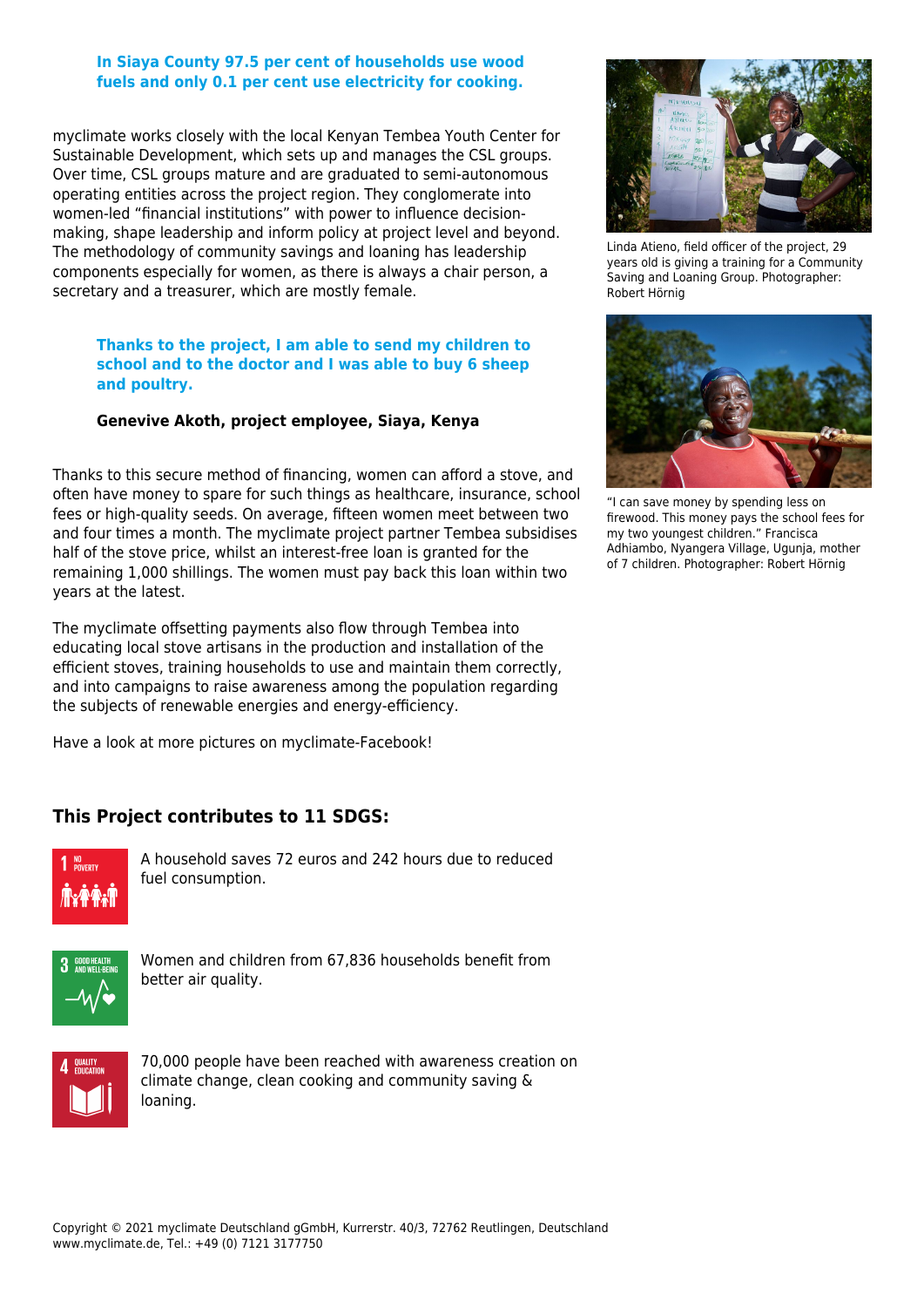#### **In Siaya County 97.5 per cent of households use wood fuels and only 0.1 per cent use electricity for cooking.**

myclimate works closely with the local Kenyan [Tembea Youth Center for](https://www.facebook.com/pg/TembeaYouth/posts/) [Sustainable Development](https://www.facebook.com/pg/TembeaYouth/posts/), which sets up and manages the CSL groups. Over time, CSL groups mature and are graduated to semi-autonomous operating entities across the project region. They conglomerate into women-led "financial institutions" with power to influence decisionmaking, shape leadership and inform policy at project level and beyond. The methodology of community savings and loaning has leadership components especially for women, as there is always a chair person, a secretary and a treasurer, which are mostly female.

#### **Thanks to the project, I am able to send my children to school and to the doctor and I was able to buy 6 sheep and poultry.**

#### **Genevive Akoth, project employee, Siaya, Kenya**

Thanks to this secure method of financing, women can afford a stove, and often have money to spare for such things as healthcare, insurance, school fees or high-quality seeds. On average, fifteen women meet between two and four times a month. The myclimate project partner Tembea subsidises half of the stove price, whilst an interest-free loan is granted for the remaining 1,000 shillings. The women must pay back this loan within two years at the latest.

The myclimate offsetting payments also flow through Tembea into educating local stove artisans in the production and installation of the efficient stoves, training households to use and maintain them correctly, and into campaigns to raise awareness among the population regarding the subjects of renewable energies and energy-efficiency.

Have a look at more pictures on [myclimate-Facebook](https://www.facebook.com/media/set/?set=a.10152803902740374.1073741835.341277720373&type=3)!

### **This Project contributes to 11 SDGS:**



A household saves 72 euros and 242 hours due to reduced fuel consumption.



Women and children from 67,836 households benefit from better air quality.



70,000 people have been reached with awareness creation on climate change, clean cooking and community saving & loaning.



Linda Atieno, field officer of the project, 29 years old is giving a training for a Community Saving and Loaning Group. Photographer: Robert Hörnig



"I can save money by spending less on firewood. This money pays the school fees for my two youngest children." Francisca Adhiambo, Nyangera Village, Ugunja, mother of 7 children. Photographer: Robert Hörnig